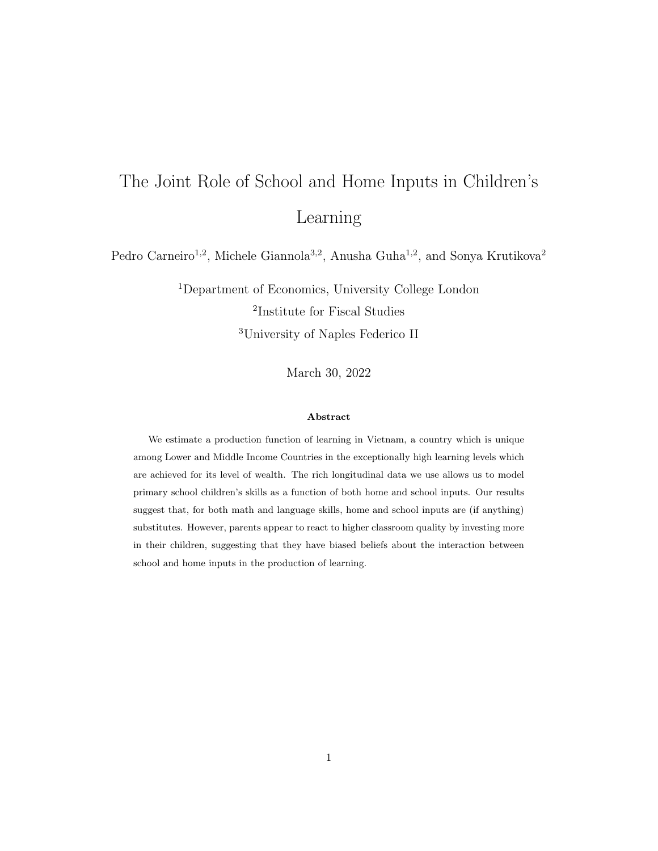# <span id="page-0-0"></span>The Joint Role of School and Home Inputs in Children's Learning

Pedro Carneiro<sup>1,2</sup>, Michele Giannola<sup>3,2</sup>, Anusha Guha<sup>1,2</sup>, and Sonya Krutikova<sup>2</sup>

<sup>1</sup>Department of Economics, University College London 2 Institute for Fiscal Studies <sup>3</sup>University of Naples Federico II

March 30, 2022

#### Abstract

We estimate a production function of learning in Vietnam, a country which is unique among Lower and Middle Income Countries in the exceptionally high learning levels which are achieved for its level of wealth. The rich longitudinal data we use allows us to model primary school children's skills as a function of both home and school inputs. Our results suggest that, for both math and language skills, home and school inputs are (if anything) substitutes. However, parents appear to react to higher classroom quality by investing more in their children, suggesting that they have biased beliefs about the interaction between school and home inputs in the production of learning.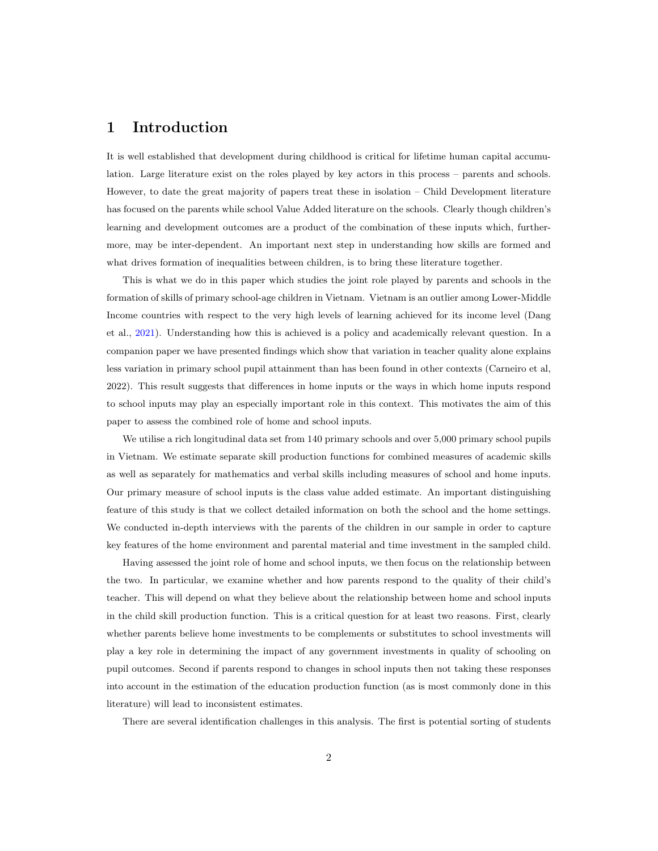# 1 Introduction

It is well established that development during childhood is critical for lifetime human capital accumulation. Large literature exist on the roles played by key actors in this process – parents and schools. However, to date the great majority of papers treat these in isolation – Child Development literature has focused on the parents while school Value Added literature on the schools. Clearly though children's learning and development outcomes are a product of the combination of these inputs which, furthermore, may be inter-dependent. An important next step in understanding how skills are formed and what drives formation of inequalities between children, is to bring these literature together.

This is what we do in this paper which studies the joint role played by parents and schools in the formation of skills of primary school-age children in Vietnam. Vietnam is an outlier among Lower-Middle Income countries with respect to the very high levels of learning achieved for its income level (Dang et al., [2021\)](#page-20-0). Understanding how this is achieved is a policy and academically relevant question. In a companion paper we have presented findings which show that variation in teacher quality alone explains less variation in primary school pupil attainment than has been found in other contexts (Carneiro et al, 2022). This result suggests that differences in home inputs or the ways in which home inputs respond to school inputs may play an especially important role in this context. This motivates the aim of this paper to assess the combined role of home and school inputs.

We utilise a rich longitudinal data set from 140 primary schools and over 5,000 primary school pupils in Vietnam. We estimate separate skill production functions for combined measures of academic skills as well as separately for mathematics and verbal skills including measures of school and home inputs. Our primary measure of school inputs is the class value added estimate. An important distinguishing feature of this study is that we collect detailed information on both the school and the home settings. We conducted in-depth interviews with the parents of the children in our sample in order to capture key features of the home environment and parental material and time investment in the sampled child.

Having assessed the joint role of home and school inputs, we then focus on the relationship between the two. In particular, we examine whether and how parents respond to the quality of their child's teacher. This will depend on what they believe about the relationship between home and school inputs in the child skill production function. This is a critical question for at least two reasons. First, clearly whether parents believe home investments to be complements or substitutes to school investments will play a key role in determining the impact of any government investments in quality of schooling on pupil outcomes. Second if parents respond to changes in school inputs then not taking these responses into account in the estimation of the education production function (as is most commonly done in this literature) will lead to inconsistent estimates.

There are several identification challenges in this analysis. The first is potential sorting of students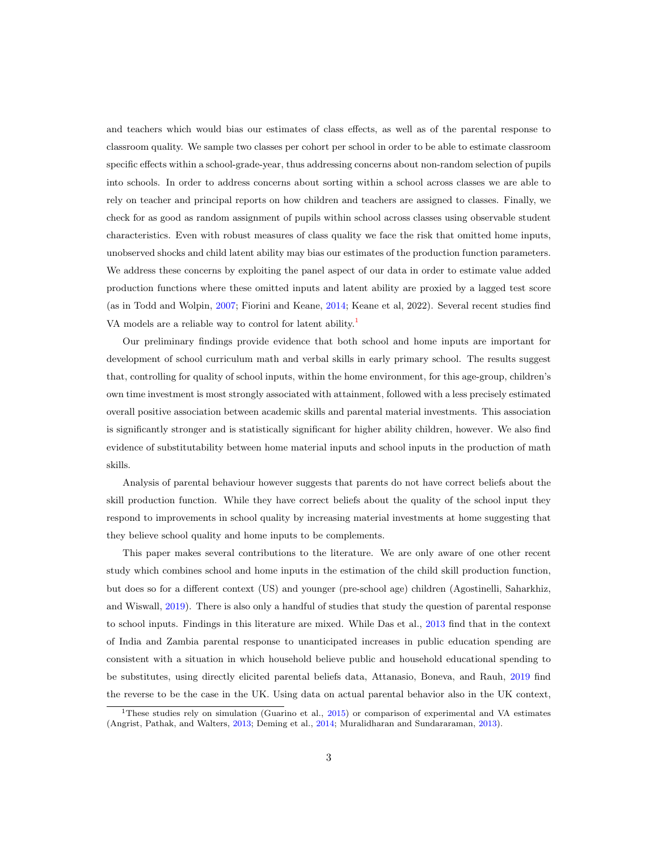and teachers which would bias our estimates of class effects, as well as of the parental response to classroom quality. We sample two classes per cohort per school in order to be able to estimate classroom specific effects within a school-grade-year, thus addressing concerns about non-random selection of pupils into schools. In order to address concerns about sorting within a school across classes we are able to rely on teacher and principal reports on how children and teachers are assigned to classes. Finally, we check for as good as random assignment of pupils within school across classes using observable student characteristics. Even with robust measures of class quality we face the risk that omitted home inputs, unobserved shocks and child latent ability may bias our estimates of the production function parameters. We address these concerns by exploiting the panel aspect of our data in order to estimate value added production functions where these omitted inputs and latent ability are proxied by a lagged test score (as in Todd and Wolpin, [2007;](#page-20-1) Fiorini and Keane, [2014;](#page-20-2) Keane et al, 2022). Several recent studies find VA models are a reliable way to control for latent ability.<sup>[1](#page-0-0)</sup>

Our preliminary findings provide evidence that both school and home inputs are important for development of school curriculum math and verbal skills in early primary school. The results suggest that, controlling for quality of school inputs, within the home environment, for this age-group, children's own time investment is most strongly associated with attainment, followed with a less precisely estimated overall positive association between academic skills and parental material investments. This association is significantly stronger and is statistically significant for higher ability children, however. We also find evidence of substitutability between home material inputs and school inputs in the production of math skills.

Analysis of parental behaviour however suggests that parents do not have correct beliefs about the skill production function. While they have correct beliefs about the quality of the school input they respond to improvements in school quality by increasing material investments at home suggesting that they believe school quality and home inputs to be complements.

This paper makes several contributions to the literature. We are only aware of one other recent study which combines school and home inputs in the estimation of the child skill production function, but does so for a different context (US) and younger (pre-school age) children (Agostinelli, Saharkhiz, and Wiswall, [2019\)](#page-20-3). There is also only a handful of studies that study the question of parental response to school inputs. Findings in this literature are mixed. While Das et al., [2013](#page-20-4) find that in the context of India and Zambia parental response to unanticipated increases in public education spending are consistent with a situation in which household believe public and household educational spending to be substitutes, using directly elicited parental beliefs data, Attanasio, Boneva, and Rauh, [2019](#page-20-5) find the reverse to be the case in the UK. Using data on actual parental behavior also in the UK context,

<sup>&</sup>lt;sup>1</sup>These studies rely on simulation (Guarino et al.,  $2015$ ) or comparison of experimental and VA estimates (Angrist, Pathak, and Walters, [2013;](#page-20-7) Deming et al., [2014;](#page-20-8) Muralidharan and Sundararaman, [2013\)](#page-20-9).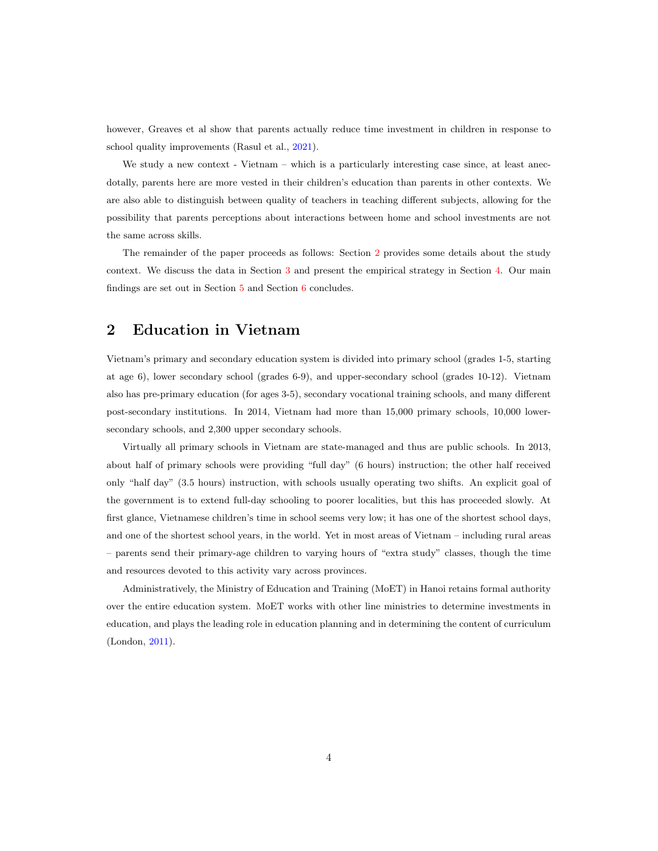however, Greaves et al show that parents actually reduce time investment in children in response to school quality improvements (Rasul et al., [2021\)](#page-20-10).

We study a new context - Vietnam – which is a particularly interesting case since, at least anecdotally, parents here are more vested in their children's education than parents in other contexts. We are also able to distinguish between quality of teachers in teaching different subjects, allowing for the possibility that parents perceptions about interactions between home and school investments are not the same across skills.

The remainder of the paper proceeds as follows: Section [2](#page-3-0) provides some details about the study context. We discuss the data in Section [3](#page-4-0) and present the empirical strategy in Section [4.](#page-7-0) Our main findings are set out in Section [5](#page-8-0) and Section [6](#page-19-0) concludes.

## <span id="page-3-0"></span>2 Education in Vietnam

Vietnam's primary and secondary education system is divided into primary school (grades 1-5, starting at age 6), lower secondary school (grades 6-9), and upper-secondary school (grades 10-12). Vietnam also has pre-primary education (for ages 3-5), secondary vocational training schools, and many different post-secondary institutions. In 2014, Vietnam had more than 15,000 primary schools, 10,000 lowersecondary schools, and 2,300 upper secondary schools.

Virtually all primary schools in Vietnam are state-managed and thus are public schools. In 2013, about half of primary schools were providing "full day" (6 hours) instruction; the other half received only "half day" (3.5 hours) instruction, with schools usually operating two shifts. An explicit goal of the government is to extend full-day schooling to poorer localities, but this has proceeded slowly. At first glance, Vietnamese children's time in school seems very low; it has one of the shortest school days, and one of the shortest school years, in the world. Yet in most areas of Vietnam – including rural areas – parents send their primary-age children to varying hours of "extra study" classes, though the time and resources devoted to this activity vary across provinces.

Administratively, the Ministry of Education and Training (MoET) in Hanoi retains formal authority over the entire education system. MoET works with other line ministries to determine investments in education, and plays the leading role in education planning and in determining the content of curriculum (London, [2011\)](#page-20-11).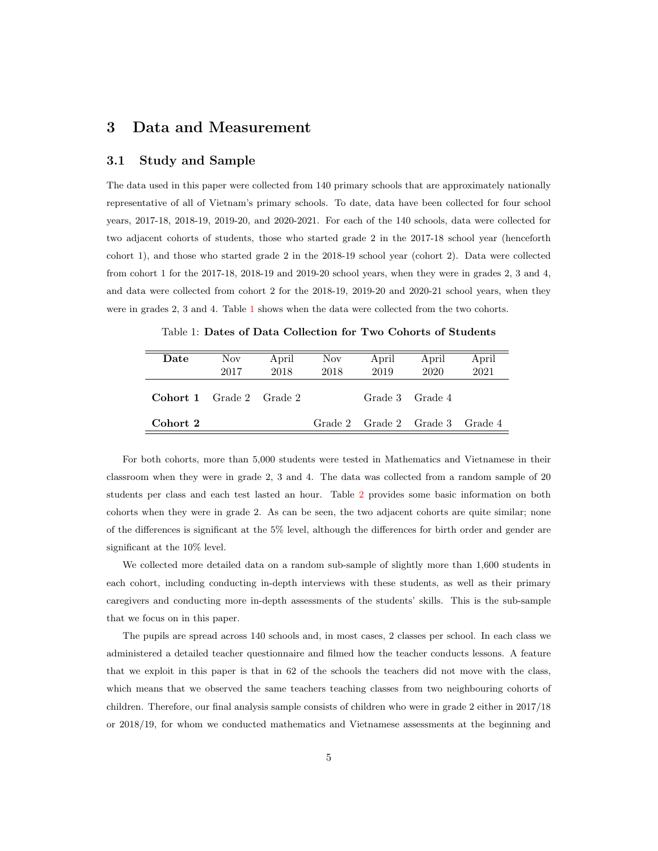### <span id="page-4-0"></span>3 Data and Measurement

### 3.1 Study and Sample

The data used in this paper were collected from 140 primary schools that are approximately nationally representative of all of Vietnam's primary schools. To date, data have been collected for four school years, 2017-18, 2018-19, 2019-20, and 2020-2021. For each of the 140 schools, data were collected for two adjacent cohorts of students, those who started grade 2 in the 2017-18 school year (henceforth cohort 1), and those who started grade 2 in the 2018-19 school year (cohort 2). Data were collected from cohort 1 for the 2017-18, 2018-19 and 2019-20 school years, when they were in grades 2, 3 and 4, and data were collected from cohort 2 for the 2018-19, 2019-20 and 2020-21 school years, when they were in grades 2, 3 and 4. Table [1](#page-4-1) shows when the data were collected from the two cohorts.

Table 1: Dates of Data Collection for Two Cohorts of Students

<span id="page-4-1"></span>

| Date                            | Nov.<br>2017 | April<br>2018 | Nov<br>2018 | April<br>2019                   | April<br>2020 | April<br>2021 |
|---------------------------------|--------------|---------------|-------------|---------------------------------|---------------|---------------|
| <b>Cohort 1</b> Grade 2 Grade 2 |              |               |             | Grade 3 Grade 4                 |               |               |
| Cohort 2                        |              |               |             | Grade 2 Grade 2 Grade 3 Grade 4 |               |               |

For both cohorts, more than 5,000 students were tested in Mathematics and Vietnamese in their classroom when they were in grade 2, 3 and 4. The data was collected from a random sample of 20 students per class and each test lasted an hour. Table [2](#page-5-0) provides some basic information on both cohorts when they were in grade 2. As can be seen, the two adjacent cohorts are quite similar; none of the differences is significant at the 5% level, although the differences for birth order and gender are significant at the 10% level.

We collected more detailed data on a random sub-sample of slightly more than 1,600 students in each cohort, including conducting in-depth interviews with these students, as well as their primary caregivers and conducting more in-depth assessments of the students' skills. This is the sub-sample that we focus on in this paper.

The pupils are spread across 140 schools and, in most cases, 2 classes per school. In each class we administered a detailed teacher questionnaire and filmed how the teacher conducts lessons. A feature that we exploit in this paper is that in 62 of the schools the teachers did not move with the class, which means that we observed the same teachers teaching classes from two neighbouring cohorts of children. Therefore, our final analysis sample consists of children who were in grade 2 either in 2017/18 or 2018/19, for whom we conducted mathematics and Vietnamese assessments at the beginning and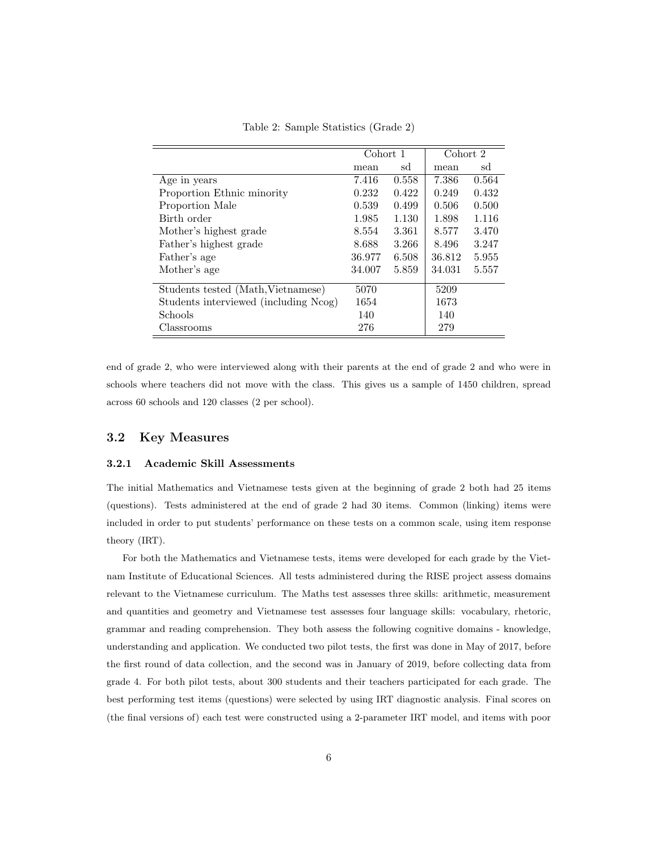<span id="page-5-0"></span>

|                                       | Cohort 1 |       | Cohort 2 |       |
|---------------------------------------|----------|-------|----------|-------|
|                                       | mean     | sd    | mean     | sd    |
| Age in years                          | 7.416    | 0.558 | 7.386    | 0.564 |
| Proportion Ethnic minority            | 0.232    | 0.422 | 0.249    | 0.432 |
| Proportion Male                       | 0.539    | 0.499 | 0.506    | 0.500 |
| Birth order                           | 1.985    | 1.130 | 1.898    | 1.116 |
| Mother's highest grade                | 8.554    | 3.361 | 8.577    | 3.470 |
| Father's highest grade                | 8.688    | 3.266 | 8.496    | 3.247 |
| Father's age                          | 36.977   | 6.508 | 36.812   | 5.955 |
| Mother's age                          | 34.007   | 5.859 | 34.031   | 5.557 |
| Students tested (Math, Vietnamese)    | 5070     |       | 5209     |       |
| Students interviewed (including Ncog) | 1654     |       | 1673     |       |
| Schools                               | 140      |       | 140      |       |
| Classrooms                            | 276      |       | 279      |       |

Table 2: Sample Statistics (Grade 2)

end of grade 2, who were interviewed along with their parents at the end of grade 2 and who were in schools where teachers did not move with the class. This gives us a sample of 1450 children, spread across 60 schools and 120 classes (2 per school).

### 3.2 Key Measures

#### 3.2.1 Academic Skill Assessments

The initial Mathematics and Vietnamese tests given at the beginning of grade 2 both had 25 items (questions). Tests administered at the end of grade 2 had 30 items. Common (linking) items were included in order to put students' performance on these tests on a common scale, using item response theory (IRT).

For both the Mathematics and Vietnamese tests, items were developed for each grade by the Vietnam Institute of Educational Sciences. All tests administered during the RISE project assess domains relevant to the Vietnamese curriculum. The Maths test assesses three skills: arithmetic, measurement and quantities and geometry and Vietnamese test assesses four language skills: vocabulary, rhetoric, grammar and reading comprehension. They both assess the following cognitive domains - knowledge, understanding and application. We conducted two pilot tests, the first was done in May of 2017, before the first round of data collection, and the second was in January of 2019, before collecting data from grade 4. For both pilot tests, about 300 students and their teachers participated for each grade. The best performing test items (questions) were selected by using IRT diagnostic analysis. Final scores on (the final versions of) each test were constructed using a 2-parameter IRT model, and items with poor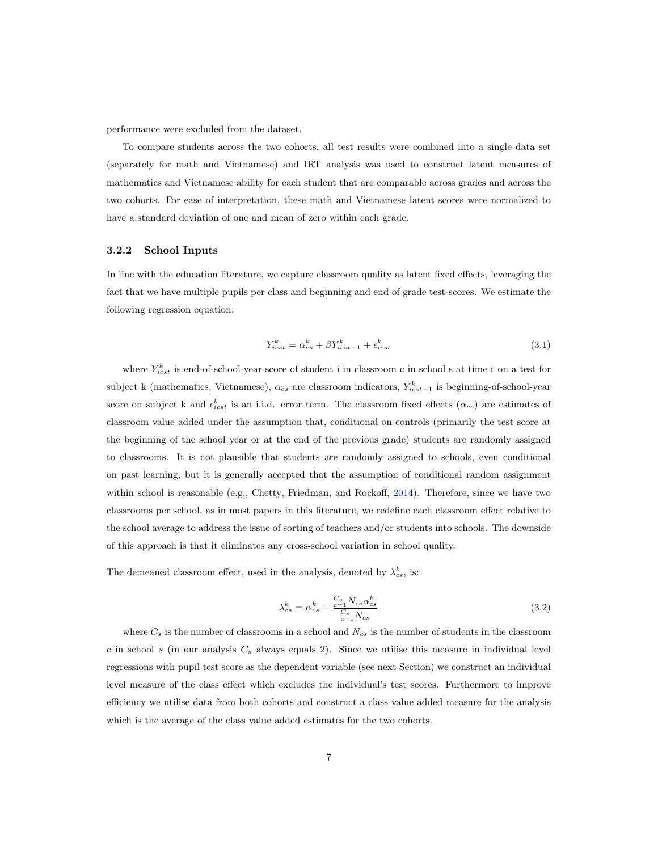performance were excluded from the dataset.

To compare students across the two cohorts, all test results were combined into a single data set (separately for math and Vietnamese) and IRT analysis was used to construct latent measures of mathematics and Vietnamese ability for each student that are comparable across grades and across the two cohorts. For ease of interpretation, these math and Vietnamese latent scores were normalized to have a standard deviation of one and mean of zero within each grade.

#### 3.2.2 School Inputs

In line with the education literature, we capture classroom quality as latent fixed effects, leveraging the fact that we have multiple pupils per class and beginning and end of grade test-scores. We estimate the following regression equation:

$$
Y_{icst}^k = \alpha_{cs}^k + \beta Y_{icst-1}^k + \epsilon_{icst}^k \tag{3.1}
$$

where  $Y_{icst}^k$  is end-of-school-year score of student i in classroom c in school s at time t on a test for subject k (mathematics, Vietnamese),  $\alpha_{cs}$  are classroom indicators,  $Y_{icst-1}^k$  is beginning-of-school-year score on subject k and  $\epsilon_{icst}^k$  is an i.i.d. error term. The classroom fixed effects  $(\alpha_{cs})$  are estimates of classroom value added under the assumption that, conditional on controls (primarily the test score at the beginning of the school year or at the end of the previous grade) students are randomly assigned to classrooms. It is not plausible that students are randomly assigned to schools, even conditional on past learning, but it is generally accepted that the assumption of conditional random assignment within school is reasonable (e.g., Chetty, Friedman, and Rockoff, [2014\)](#page-20-12). Therefore, since we have two classrooms per school, as in most papers in this literature, we redefine each classroom effect relative to the school average to address the issue of sorting of teachers and/or students into schools. The downside of this approach is that it eliminates any cross-school variation in school quality.

The demeaned classroom effect, used in the analysis, denoted by  $\lambda_{cs}^k$ , is:

$$
\lambda_{cs}^k = \alpha_{cs}^k - \frac{\frac{C_s}{c=1} N_{cs} \alpha_{cs}^k}{\frac{C_s}{c=1} N_{cs}} \tag{3.2}
$$

where  $C_s$  is the number of classrooms in a school and  $N_{cs}$  is the number of students in the classroom  $c$  in school  $s$  (in our analysis  $C_s$  always equals 2). Since we utilise this measure in individual level regressions with pupil test score as the dependent variable (see next Section) we construct an individual level measure of the class effect which excludes the individual's test scores. Furthermore to improve efficiency we utilise data from both cohorts and construct a class value added measure for the analysis which is the average of the class value added estimates for the two cohorts.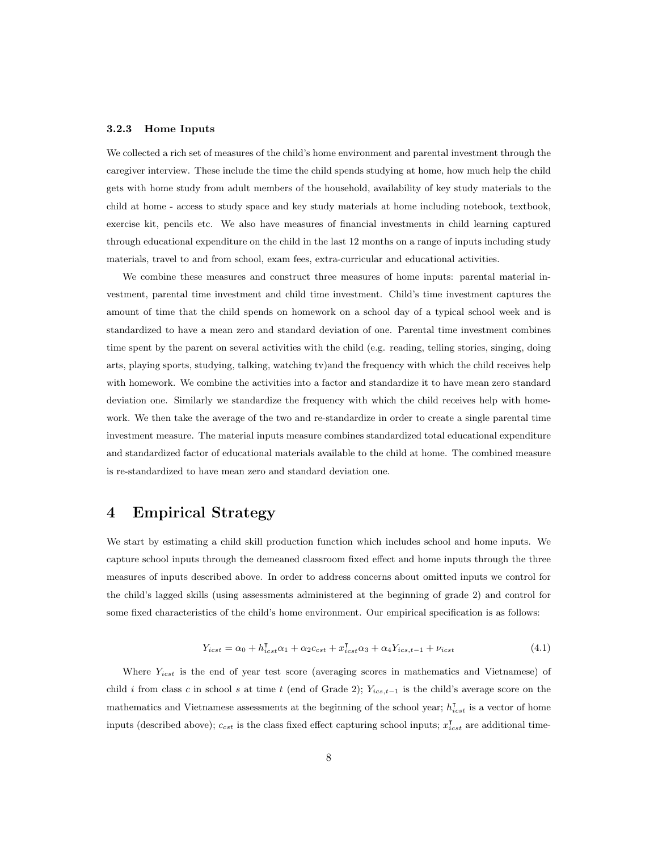#### 3.2.3 Home Inputs

We collected a rich set of measures of the child's home environment and parental investment through the caregiver interview. These include the time the child spends studying at home, how much help the child gets with home study from adult members of the household, availability of key study materials to the child at home - access to study space and key study materials at home including notebook, textbook, exercise kit, pencils etc. We also have measures of financial investments in child learning captured through educational expenditure on the child in the last 12 months on a range of inputs including study materials, travel to and from school, exam fees, extra-curricular and educational activities.

We combine these measures and construct three measures of home inputs: parental material investment, parental time investment and child time investment. Child's time investment captures the amount of time that the child spends on homework on a school day of a typical school week and is standardized to have a mean zero and standard deviation of one. Parental time investment combines time spent by the parent on several activities with the child (e.g. reading, telling stories, singing, doing arts, playing sports, studying, talking, watching tv)and the frequency with which the child receives help with homework. We combine the activities into a factor and standardize it to have mean zero standard deviation one. Similarly we standardize the frequency with which the child receives help with homework. We then take the average of the two and re-standardize in order to create a single parental time investment measure. The material inputs measure combines standardized total educational expenditure and standardized factor of educational materials available to the child at home. The combined measure is re-standardized to have mean zero and standard deviation one.

# <span id="page-7-0"></span>4 Empirical Strategy

We start by estimating a child skill production function which includes school and home inputs. We capture school inputs through the demeaned classroom fixed effect and home inputs through the three measures of inputs described above. In order to address concerns about omitted inputs we control for the child's lagged skills (using assessments administered at the beginning of grade 2) and control for some fixed characteristics of the child's home environment. Our empirical specification is as follows:

$$
Y_{icst} = \alpha_0 + h_{icst}^{\mathsf{T}} \alpha_1 + \alpha_2 c_{cst} + x_{icst}^{\mathsf{T}} \alpha_3 + \alpha_4 Y_{ics,t-1} + \nu_{icst}
$$
\n
$$
\tag{4.1}
$$

Where  $Y_{i,est}$  is the end of year test score (averaging scores in mathematics and Vietnamese) of child i from class c in school s at time t (end of Grade 2);  $Y_{ics,t-1}$  is the child's average score on the mathematics and Vietnamese assessments at the beginning of the school year;  $h_{icst}^{\dagger}$  is a vector of home inputs (described above);  $c_{cst}$  is the class fixed effect capturing school inputs;  $x_{icst}^{\dagger}$  are additional time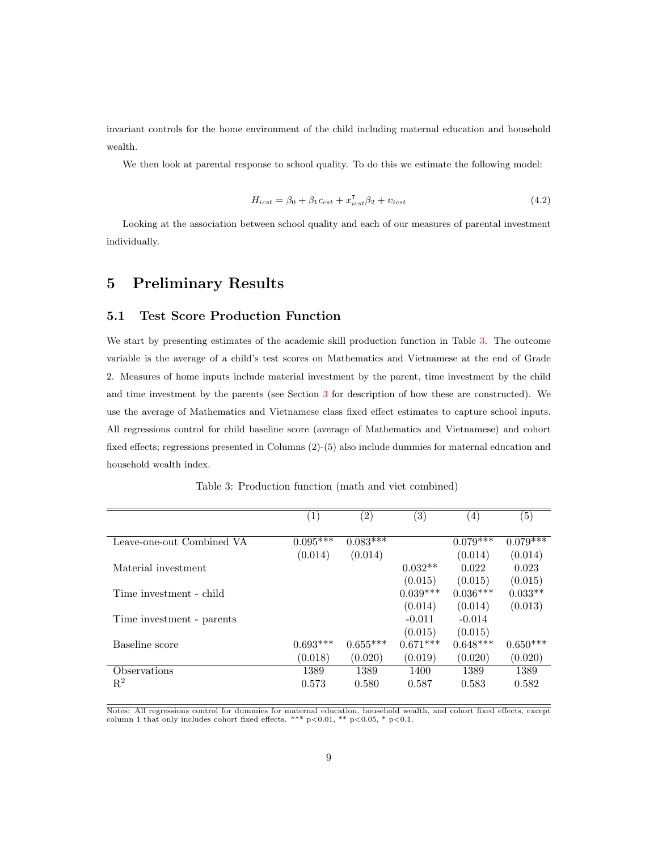invariant controls for the home environment of the child including maternal education and household wealth.

We then look at parental response to school quality. To do this we estimate the following model:

<span id="page-8-2"></span>
$$
H_{icst} = \beta_0 + \beta_1 c_{cst} + x_{icst}^{\mathsf{T}} \beta_2 + v_{icst}
$$
\n(4.2)

Looking at the association between school quality and each of our measures of parental investment individually.

## <span id="page-8-0"></span>5 Preliminary Results

### 5.1 Test Score Production Function

We start by presenting estimates of the academic skill production function in Table [3.](#page-8-1) The outcome variable is the average of a child's test scores on Mathematics and Vietnamese at the end of Grade 2. Measures of home inputs include material investment by the parent, time investment by the child and time investment by the parents (see Section [3](#page-4-0) for description of how these are constructed). We use the average of Mathematics and Vietnamese class fixed effect estimates to capture school inputs. All regressions control for child baseline score (average of Mathematics and Vietnamese) and cohort fixed effects; regressions presented in Columns (2)-(5) also include dummies for maternal education and household wealth index.

<span id="page-8-1"></span>

|                           | $\left( 1\right)$ | $\left( 2\right)$ | $\left( 3\right)$ | $\left( 4\right)$ | (5)        |
|---------------------------|-------------------|-------------------|-------------------|-------------------|------------|
|                           |                   |                   |                   |                   |            |
| Leave-one-out Combined VA | $0.095***$        | $0.083***$        |                   | $0.079***$        | $0.079***$ |
|                           | (0.014)           | (0.014)           |                   | (0.014)           | (0.014)    |
| Material investment       |                   |                   | $0.032**$         | 0.022             | 0.023      |
|                           |                   |                   | (0.015)           | (0.015)           | (0.015)    |
| Time investment - child   |                   |                   | $0.039***$        | $0.036***$        | $0.033**$  |
|                           |                   |                   | (0.014)           | (0.014)           | (0.013)    |
| Time investment - parents |                   |                   | $-0.011$          | $-0.014$          |            |
|                           |                   |                   | (0.015)           | (0.015)           |            |
| Baseline score            | $0.693***$        | $0.655***$        | $0.671***$        | $0.648***$        | $0.650***$ |
|                           | (0.018)           | (0.020)           | (0.019)           | (0.020)           | (0.020)    |
| Observations              | 1389              | 1389              | 1400              | 1389              | 1389       |
| $\mathbf{R}^2$            | 0.573             | 0.580             | 0.587             | 0.583             | 0.582      |

Table 3: Production function (math and viet combined)

Notes: All regressions control for dummies for maternal education, household wealth, and cohort fixed effects, except<br>column 1 that only includes cohort fixed effects. \*\*\* p<0.01, \*\* p<0.05, \* p<0.1.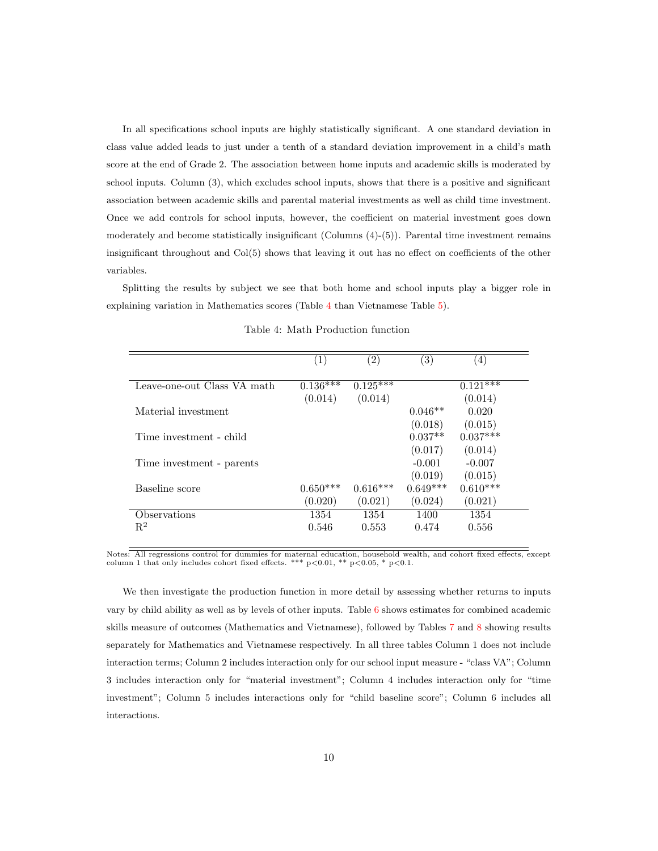In all specifications school inputs are highly statistically significant. A one standard deviation in class value added leads to just under a tenth of a standard deviation improvement in a child's math score at the end of Grade 2. The association between home inputs and academic skills is moderated by school inputs. Column (3), which excludes school inputs, shows that there is a positive and significant association between academic skills and parental material investments as well as child time investment. Once we add controls for school inputs, however, the coefficient on material investment goes down moderately and become statistically insignificant (Columns (4)-(5)). Parental time investment remains insignificant throughout and Col(5) shows that leaving it out has no effect on coefficients of the other variables.

Splitting the results by subject we see that both home and school inputs play a bigger role in explaining variation in Mathematics scores (Table [4](#page-9-0) than Vietnamese Table [5\)](#page-10-0).

<span id="page-9-0"></span>

| (1)        | $\left( 2\right)$ | $\left( 3\right)$ | (4)        |
|------------|-------------------|-------------------|------------|
| $0.136***$ | $0.125***$        |                   | $0.121***$ |
| (0.014)    | (0.014)           |                   | (0.014)    |
|            |                   | $0.046**$         | 0.020      |
|            |                   | (0.018)           | (0.015)    |
|            |                   | $0.037**$         | $0.037***$ |
|            |                   | (0.017)           | (0.014)    |
|            |                   | $-0.001$          | $-0.007$   |
|            |                   | (0.019)           | (0.015)    |
| $0.650***$ | $0.616***$        | $0.649***$        | $0.610***$ |
| (0.020)    | (0.021)           | (0.024)           | (0.021)    |
| 1354       | 1354              | 1400              | 1354       |
| 0.546      | 0.553             | 0.474             | 0.556      |
|            |                   |                   |            |

Table 4: Math Production function

Notes: All regressions control for dummies for maternal education, household wealth, and cohort fixed effects, except column 1 that only includes cohort fixed effects. \*\*\* p<0.01, \*\* p<0.05, \* p<0.1.

We then investigate the production function in more detail by assessing whether returns to inputs vary by child ability as well as by levels of other inputs. Table [6](#page-11-0) shows estimates for combined academic skills measure of outcomes (Mathematics and Vietnamese), followed by Tables [7](#page-12-0) and [8](#page-13-0) showing results separately for Mathematics and Vietnamese respectively. In all three tables Column 1 does not include interaction terms; Column 2 includes interaction only for our school input measure - "class VA"; Column 3 includes interaction only for "material investment"; Column 4 includes interaction only for "time investment"; Column 5 includes interactions only for "child baseline score"; Column 6 includes all interactions.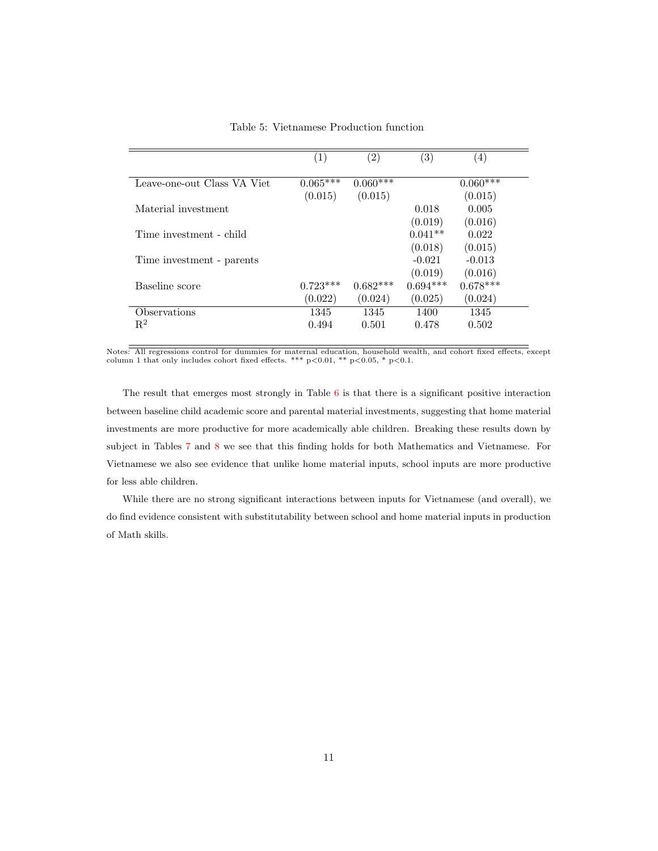<span id="page-10-0"></span>

|                             | $\left( 1\right)$ | $\left( 2\right)$ | $\left( 3\right)$ | (4)        |
|-----------------------------|-------------------|-------------------|-------------------|------------|
| Leave-one-out Class VA Viet | $0.065***$        | $0.060***$        |                   | $0.060***$ |
|                             | (0.015)           | (0.015)           |                   | (0.015)    |
| Material investment         |                   |                   | 0.018             | 0.005      |
|                             |                   |                   | (0.019)           | (0.016)    |
| Time investment - child     |                   |                   | $0.041**$         | 0.022      |
|                             |                   |                   | (0.018)           | (0.015)    |
| Time investment - parents   |                   |                   | $-0.021$          | $-0.013$   |
|                             |                   |                   | (0.019)           | (0.016)    |
| Baseline score              | $0.723***$        | $0.682***$        | $0.694***$        | $0.678***$ |
|                             | (0.022)           | (0.024)           | (0.025)           | (0.024)    |
| Observations                | 1345              | 1345              | 1400              | 1345       |
| $\mathbf{R}^2$              | 0.494             | 0.501             | 0.478             | 0.502      |

Table 5: Vietnamese Production function

Notes: All regressions control for dummies for maternal education, household wealth, and cohort fixed effects, except<br>column 1 that only includes cohort fixed effects. \*\*\* p<0.01, \*\* p<0.05, \* p<0.1.

The result that emerges most strongly in Table [6](#page-11-0) is that there is a significant positive interaction between baseline child academic score and parental material investments, suggesting that home material investments are more productive for more academically able children. Breaking these results down by subject in Tables [7](#page-12-0) and [8](#page-13-0) we see that this finding holds for both Mathematics and Vietnamese. For Vietnamese we also see evidence that unlike home material inputs, school inputs are more productive for less able children.

While there are no strong significant interactions between inputs for Vietnamese (and overall), we do find evidence consistent with substitutability between school and home material inputs in production of Math skills.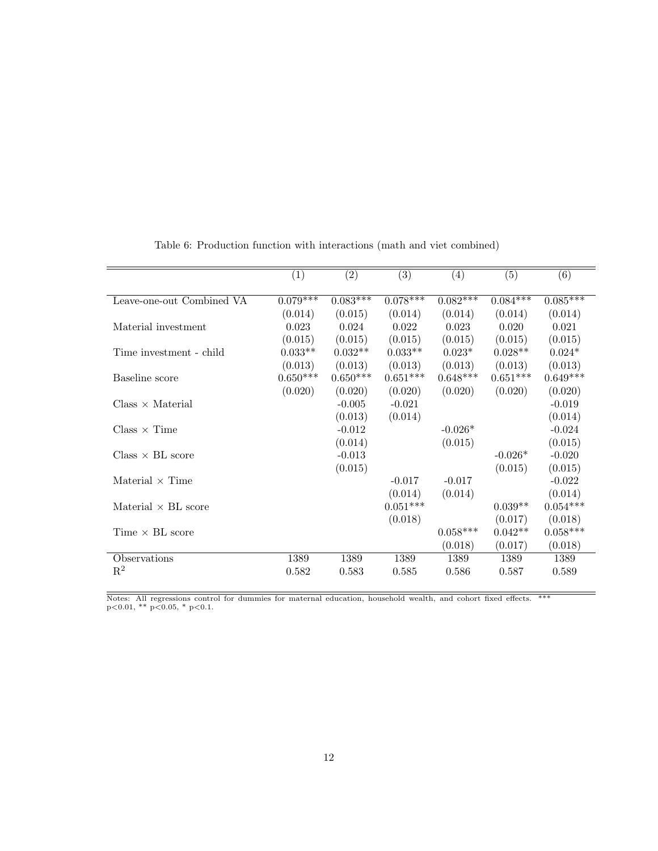<span id="page-11-0"></span>

|                            | (1)        | (2)        | (3)        | $\left( 4\right)$ | (5)        | (6)        |
|----------------------------|------------|------------|------------|-------------------|------------|------------|
|                            |            |            |            |                   |            |            |
| Leave-one-out Combined VA  | $0.079***$ | $0.083***$ | $0.078***$ | $0.082***$        | $0.084***$ | $0.085***$ |
|                            | (0.014)    | (0.015)    | (0.014)    | (0.014)           | (0.014)    | (0.014)    |
| Material investment        | 0.023      | 0.024      | 0.022      | 0.023             | 0.020      | 0.021      |
|                            | (0.015)    | (0.015)    | (0.015)    | (0.015)           | (0.015)    | (0.015)    |
| Time investment - child    | $0.033**$  | $0.032**$  | $0.033**$  | $0.023*$          | $0.028**$  | $0.024*$   |
|                            | (0.013)    | (0.013)    | (0.013)    | (0.013)           | (0.013)    | (0.013)    |
| Baseline score             | $0.650***$ | $0.650***$ | $0.651***$ | $0.648***$        | $0.651***$ | $0.649***$ |
|                            | (0.020)    | (0.020)    | (0.020)    | (0.020)           | (0.020)    | (0.020)    |
| $Class \times Material$    |            | $-0.005$   | $-0.021$   |                   |            | $-0.019$   |
|                            |            | (0.013)    | (0.014)    |                   |            | (0.014)    |
| $Class \times Time$        |            | $-0.012$   |            | $-0.026*$         |            | $-0.024$   |
|                            |            | (0.014)    |            | (0.015)           |            | (0.015)    |
| $Class \times BL score$    |            | $-0.013$   |            |                   | $-0.026*$  | $-0.020$   |
|                            |            | (0.015)    |            |                   | (0.015)    | (0.015)    |
| Material $\times$ Time     |            |            | $-0.017$   | $-0.017$          |            | $-0.022$   |
|                            |            |            | (0.014)    | (0.014)           |            | (0.014)    |
| Material $\times$ BL score |            |            | $0.051***$ |                   | $0.039**$  | $0.054***$ |
|                            |            |            | (0.018)    |                   | (0.017)    | (0.018)    |
| Time $\times$ BL score     |            |            |            | $0.058***$        | $0.042**$  | $0.058***$ |
|                            |            |            |            | (0.018)           | (0.017)    | (0.018)    |
| Observations               | 1389       | 1389       | 1389       | 1389              | 1389       | 1389       |
| $\mathbf{R}^2$             | 0.582      | 0.583      | 0.585      | 0.586             | 0.587      | 0.589      |
|                            |            |            |            |                   |            |            |

Table 6: Production function with interactions (math and viet combined)

Notes: All regressions control for dummies for maternal education, household wealth, and cohort fixed effects. \*\*\*<br>p<0.01, \*\* p<0.05, \* p<0.1.

 $\equiv$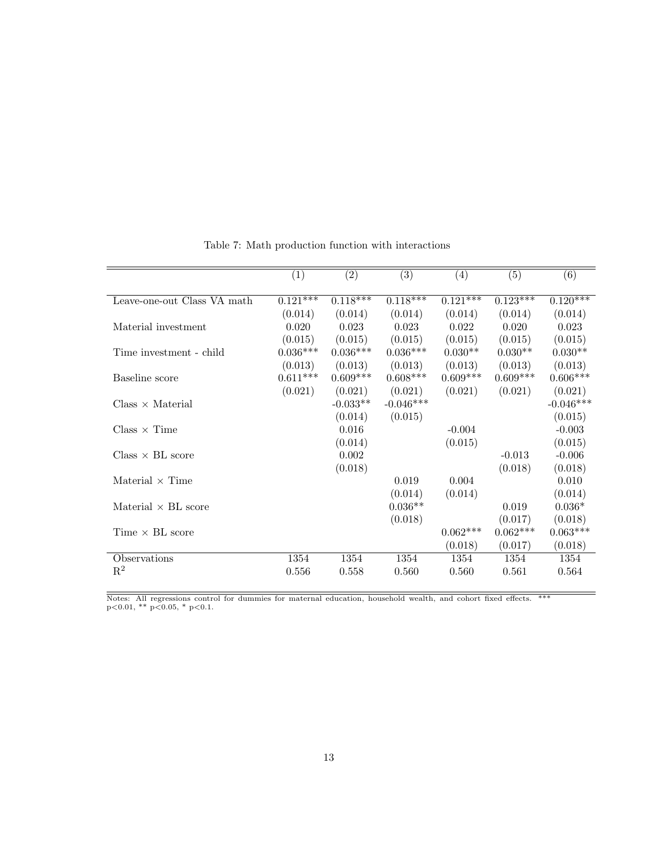<span id="page-12-0"></span>

|                             | (1)                   | (2)        | $\overline{(3)}$ | (4)        | $\overline{(5)}$ | $\overline{(6)}$ |
|-----------------------------|-----------------------|------------|------------------|------------|------------------|------------------|
|                             |                       |            |                  |            |                  |                  |
| Leave-one-out Class VA math | $0.12\overline{1***}$ | $0.118***$ | $0.118***$       | $0.121***$ | $0.123***$       | $0.120***$       |
|                             | (0.014)               | (0.014)    | (0.014)          | (0.014)    | (0.014)          | (0.014)          |
| Material investment         | 0.020                 | 0.023      | $\,0.023\,$      | 0.022      | 0.020            | 0.023            |
|                             | (0.015)               | (0.015)    | (0.015)          | (0.015)    | (0.015)          | (0.015)          |
| Time investment - child     | $0.036***$            | $0.036***$ | $0.036***$       | $0.030**$  | $0.030**$        | $0.030**$        |
|                             | (0.013)               | (0.013)    | (0.013)          | (0.013)    | (0.013)          | (0.013)          |
| Baseline score              | $0.611***$            | $0.609***$ | $0.608***$       | $0.609***$ | $0.609***$       | $0.606***$       |
|                             | (0.021)               | (0.021)    | (0.021)          | (0.021)    | (0.021)          | (0.021)          |
| $Class \times Material$     |                       | $-0.033**$ | $-0.046***$      |            |                  | $-0.046***$      |
|                             |                       | (0.014)    | (0.015)          |            |                  | (0.015)          |
| $Class \times Time$         |                       | 0.016      |                  | $-0.004$   |                  | $-0.003$         |
|                             |                       | (0.014)    |                  | (0.015)    |                  | (0.015)          |
| $Class \times BL$ score     |                       | 0.002      |                  |            | $-0.013$         | $-0.006$         |
|                             |                       | (0.018)    |                  |            | (0.018)          | (0.018)          |
| Material $\times$ Time      |                       |            | 0.019            | 0.004      |                  | 0.010            |
|                             |                       |            | (0.014)          | (0.014)    |                  | (0.014)          |
| Material $\times$ BL score  |                       |            | $0.036**$        |            | 0.019            | $0.036*$         |
|                             |                       |            | (0.018)          |            | (0.017)          | (0.018)          |
| Time $\times$ BL score      |                       |            |                  | $0.062***$ | $0.062***$       | $0.063***$       |
|                             |                       |            |                  | (0.018)    | (0.017)          | (0.018)          |
| Observations                | 1354                  | 1354       | 1354             | 1354       | 1354             | 1354             |
| $\mathbf{R}^2$              | 0.556                 | 0.558      | 0.560            | 0.560      | 0.561            | 0.564            |
|                             |                       |            |                  |            |                  |                  |

Table 7: Math production function with interactions

Notes: All regressions control for dummies for maternal education, household wealth, and cohort fixed effects. \*\*\*<br>p<0.01, \*\* p<0.05, \* p<0.1.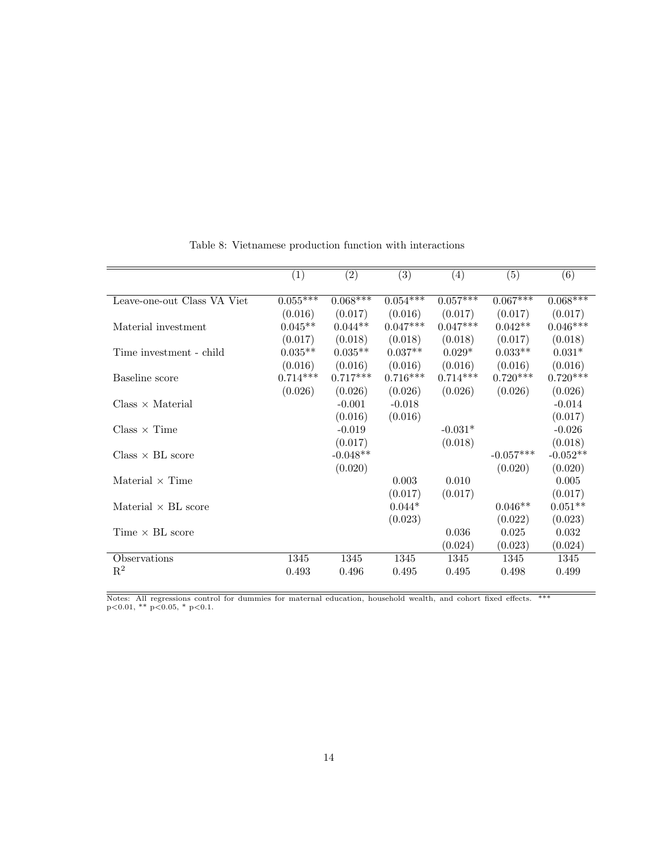<span id="page-13-0"></span>

|                             | $\bar{1}$  | (2)        | $\overline{(3)}$ | (4)        | (5)         | (6)        |
|-----------------------------|------------|------------|------------------|------------|-------------|------------|
|                             |            |            |                  |            |             |            |
| Leave-one-out Class VA Viet | $0.055***$ | $0.068***$ | $0.054***$       | $0.057***$ | $0.067***$  | $0.068***$ |
|                             | (0.016)    | (0.017)    | (0.016)          | (0.017)    | (0.017)     | (0.017)    |
| Material investment         | $0.045**$  | $0.044**$  | $0.047***$       | $0.047***$ | $0.042**$   | $0.046***$ |
|                             | (0.017)    | (0.018)    | (0.018)          | (0.018)    | (0.017)     | (0.018)    |
| Time investment - child     | $0.035**$  | $0.035**$  | $0.037**$        | $0.029*$   | $0.033**$   | $0.031*$   |
|                             | (0.016)    | (0.016)    | (0.016)          | (0.016)    | (0.016)     | (0.016)    |
| Baseline score              | $0.714***$ | $0.717***$ | $0.716***$       | $0.714***$ | $0.720***$  | $0.720***$ |
|                             | (0.026)    | (0.026)    | (0.026)          | (0.026)    | (0.026)     | (0.026)    |
| $Class \times Material$     |            | $-0.001$   | $-0.018$         |            |             | $-0.014$   |
|                             |            | (0.016)    | (0.016)          |            |             | (0.017)    |
| $Class \times Time$         |            | $-0.019$   |                  | $-0.031*$  |             | $-0.026$   |
|                             |            | (0.017)    |                  | (0.018)    |             | (0.018)    |
| $Class \times BL score$     |            | $-0.048**$ |                  |            | $-0.057***$ | $-0.052**$ |
|                             |            | (0.020)    |                  |            | (0.020)     | (0.020)    |
| Material $\times$ Time      |            |            | 0.003            | 0.010      |             | 0.005      |
|                             |            |            | (0.017)          | (0.017)    |             | (0.017)    |
| Material $\times$ BL score  |            |            | $0.044*$         |            | $0.046**$   | $0.051**$  |
|                             |            |            | (0.023)          |            | (0.022)     | (0.023)    |
| Time $\times$ BL score      |            |            |                  | 0.036      | 0.025       | 0.032      |
|                             |            |            |                  | (0.024)    | (0.023)     | (0.024)    |
| Observations                | 1345       | 1345       | 1345             | 1345       | 1345        | 1345       |
| $\mathbf{R}^2$              | 0.493      | 0.496      | 0.495            | 0.495      | 0.498       | 0.499      |
|                             |            |            |                  |            |             |            |

Table 8: Vietnamese production function with interactions

Notes: All regressions control for dummies for maternal education, household wealth, and cohort fixed effects. \*\*\*<br>p<0.01, \*\* p<0.05, \* p<0.1.

 $\equiv$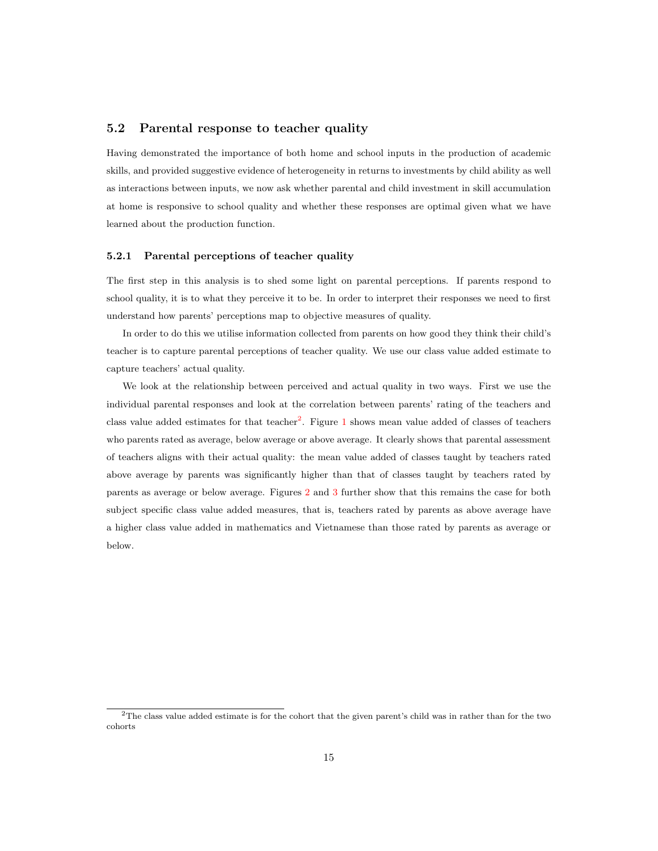#### 5.2 Parental response to teacher quality

Having demonstrated the importance of both home and school inputs in the production of academic skills, and provided suggestive evidence of heterogeneity in returns to investments by child ability as well as interactions between inputs, we now ask whether parental and child investment in skill accumulation at home is responsive to school quality and whether these responses are optimal given what we have learned about the production function.

#### 5.2.1 Parental perceptions of teacher quality

The first step in this analysis is to shed some light on parental perceptions. If parents respond to school quality, it is to what they perceive it to be. In order to interpret their responses we need to first understand how parents' perceptions map to objective measures of quality.

In order to do this we utilise information collected from parents on how good they think their child's teacher is to capture parental perceptions of teacher quality. We use our class value added estimate to capture teachers' actual quality.

We look at the relationship between perceived and actual quality in two ways. First we use the individual parental responses and look at the correlation between parents' rating of the teachers and class value added estimates for that teacher<sup>[2](#page-0-0)</sup>. Figure [1](#page-15-0) shows mean value added of classes of teachers who parents rated as average, below average or above average. It clearly shows that parental assessment of teachers aligns with their actual quality: the mean value added of classes taught by teachers rated above average by parents was significantly higher than that of classes taught by teachers rated by parents as average or below average. Figures [2](#page-15-1) and [3](#page-16-0) further show that this remains the case for both subject specific class value added measures, that is, teachers rated by parents as above average have a higher class value added in mathematics and Vietnamese than those rated by parents as average or below.

<sup>2</sup>The class value added estimate is for the cohort that the given parent's child was in rather than for the two cohorts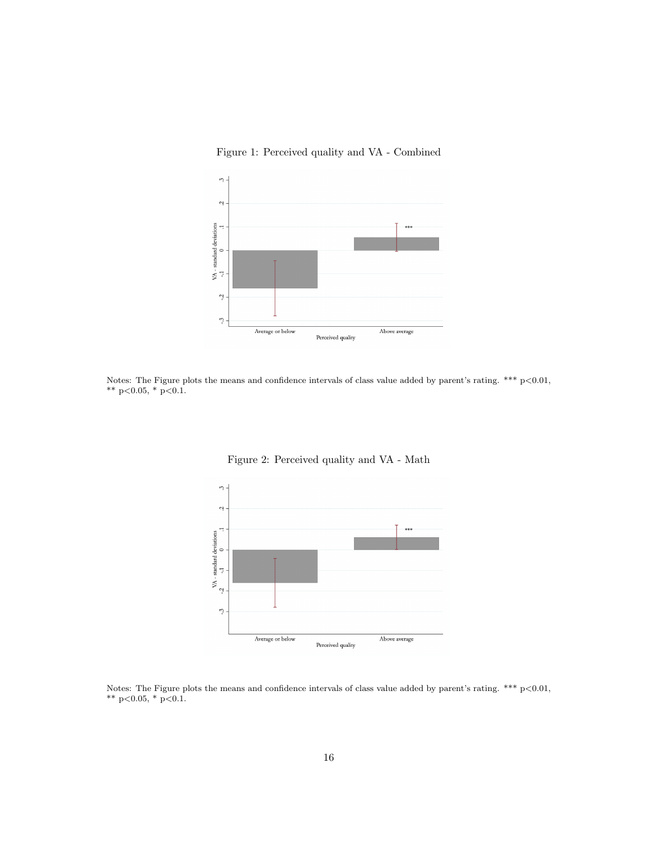<span id="page-15-0"></span>

Figure 1: Perceived quality and VA - Combined

Notes: The Figure plots the means and confidence intervals of class value added by parent's rating.  $***\ p<0.01$ , \*\*  $p<0.05$ , \*  $p<0.1$ .

<span id="page-15-1"></span>

Figure 2: Perceived quality and VA - Math

Notes: The Figure plots the means and confidence intervals of class value added by parent's rating. \*\*\* p<0.01, \*\* p<0.05, \* p<0.1.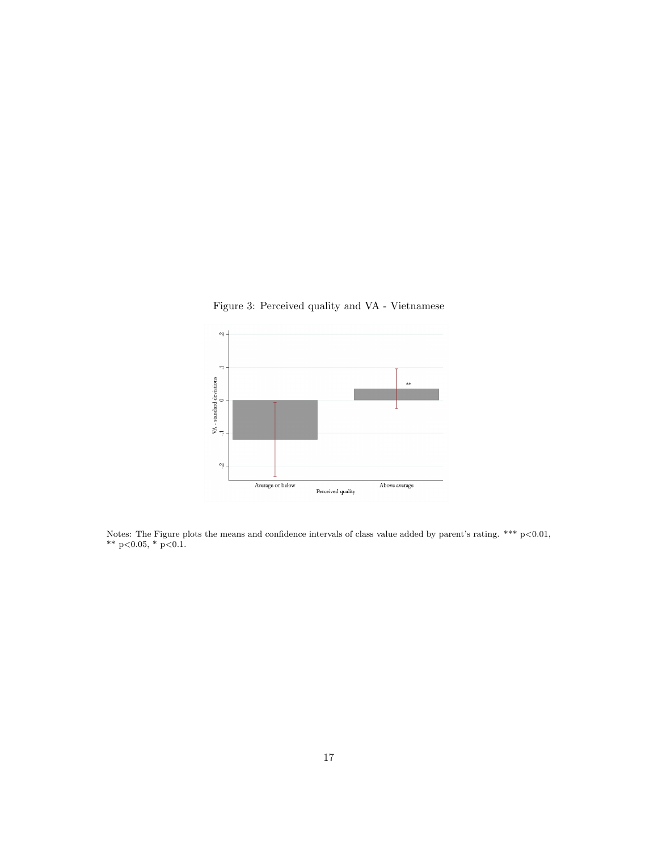Figure 3: Perceived quality and VA - Vietnamese

<span id="page-16-0"></span>

Notes: The Figure plots the means and confidence intervals of class value added by parent's rating. \*\*\*  $p<0.01$ , \*\*  $p<0.05$ , \*  $p<0.1$ .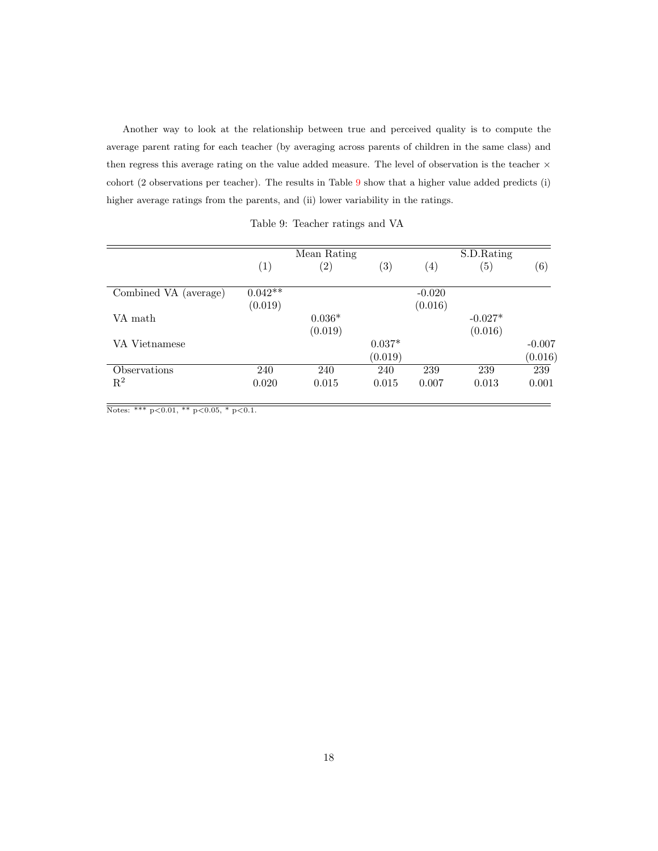Another way to look at the relationship between true and perceived quality is to compute the average parent rating for each teacher (by averaging across parents of children in the same class) and then regress this average rating on the value added measure. The level of observation is the teacher  $\times$ cohort (2 observations per teacher). The results in Table [9](#page-17-0) show that a higher value added predicts (i) higher average ratings from the parents, and (ii) lower variability in the ratings.

|  |  | Table 9: Teacher ratings and VA |  |  |  |
|--|--|---------------------------------|--|--|--|
|--|--|---------------------------------|--|--|--|

<span id="page-17-0"></span>

|                       | Mean Rating       |                   |                   | S.D.Rating        |                   |          |  |
|-----------------------|-------------------|-------------------|-------------------|-------------------|-------------------|----------|--|
|                       | $\left( 1\right)$ | $\left( 2\right)$ | $\left( 3\right)$ | $\left( 4\right)$ | $\left( 5\right)$ | (6)      |  |
| Combined VA (average) | $0.042**$         |                   |                   | $-0.020$          |                   |          |  |
|                       | (0.019)           |                   |                   | (0.016)           |                   |          |  |
| VA math               |                   | $0.036*$          |                   |                   | $-0.027*$         |          |  |
|                       |                   | (0.019)           |                   |                   | (0.016)           |          |  |
| VA Vietnamese         |                   |                   | $0.037*$          |                   |                   | $-0.007$ |  |
|                       |                   |                   | (0.019)           |                   |                   | (0.016)  |  |
| Observations          | 240               | 240               | 240               | 239               | 239               | 239      |  |
| $\mathbf{R}^2$        | 0.020             | 0.015             | 0.015             | 0.007             | 0.013             | 0.001    |  |

 $\overline{\text{Notes: }$  \*\*\*  $p<0.01,$  \*\*  $p<0.05,$  \*  $p<0.1.$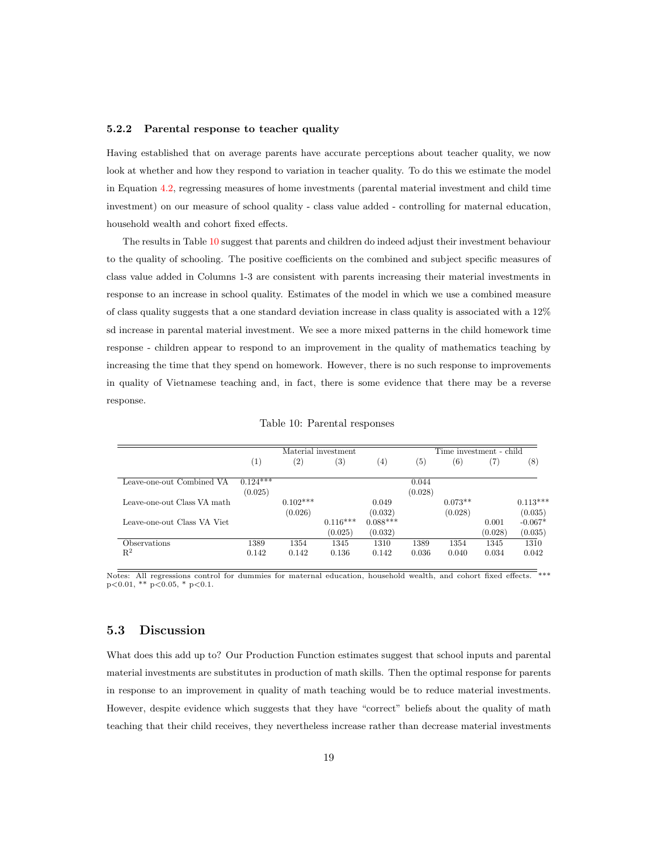#### 5.2.2 Parental response to teacher quality

Having established that on average parents have accurate perceptions about teacher quality, we now look at whether and how they respond to variation in teacher quality. To do this we estimate the model in Equation [4.2,](#page-8-2) regressing measures of home investments (parental material investment and child time investment) on our measure of school quality - class value added - controlling for maternal education, household wealth and cohort fixed effects.

The results in Table [10](#page-18-0) suggest that parents and children do indeed adjust their investment behaviour to the quality of schooling. The positive coefficients on the combined and subject specific measures of class value added in Columns 1-3 are consistent with parents increasing their material investments in response to an increase in school quality. Estimates of the model in which we use a combined measure of class quality suggests that a one standard deviation increase in class quality is associated with a 12% sd increase in parental material investment. We see a more mixed patterns in the child homework time response - children appear to respond to an improvement in the quality of mathematics teaching by increasing the time that they spend on homework. However, there is no such response to improvements in quality of Vietnamese teaching and, in fact, there is some evidence that there may be a reverse response.

<span id="page-18-0"></span>

|                             |                   | Material investment |                   |            |                   | Time investment - child |         |            |
|-----------------------------|-------------------|---------------------|-------------------|------------|-------------------|-------------------------|---------|------------|
|                             | $\left( 1\right)$ | $\left( 2\right)$   | $\left( 3\right)$ | (4)        | $\left( 5\right)$ | (6)                     | 7)      | (8)        |
| Leave-one-out Combined VA   | $0.124***$        |                     |                   |            | 0.044             |                         |         |            |
|                             | (0.025)           |                     |                   |            | (0.028)           |                         |         |            |
| Leave-one-out Class VA math |                   | $0.102***$          |                   | 0.049      |                   | $0.073**$               |         | $0.113***$ |
|                             |                   | (0.026)             |                   | (0.032)    |                   | (0.028)                 |         | (0.035)    |
| Leave-one-out Class VA Viet |                   |                     | $0.116***$        | $0.088***$ |                   |                         | 0.001   | $-0.067*$  |
|                             |                   |                     | (0.025)           | (0.032)    |                   |                         | (0.028) | (0.035)    |
| Observations                | 1389              | 1354                | 1345              | 1310       | 1389              | 1354                    | 1345    | 1310       |
| $\mathbb{R}^2$              | 0.142             | 0.142               | 0.136             | 0.142      | 0.036             | 0.040                   | 0.034   | 0.042      |

Table 10: Parental responses

Notes: All regressions control for dummies for maternal education, household wealth, and cohort fixed effects. \*\*\*  $p<0.01$ , \*\*  $p<0.05$ , \*  $p<0.1$ .

### 5.3 Discussion

What does this add up to? Our Production Function estimates suggest that school inputs and parental material investments are substitutes in production of math skills. Then the optimal response for parents in response to an improvement in quality of math teaching would be to reduce material investments. However, despite evidence which suggests that they have "correct" beliefs about the quality of math teaching that their child receives, they nevertheless increase rather than decrease material investments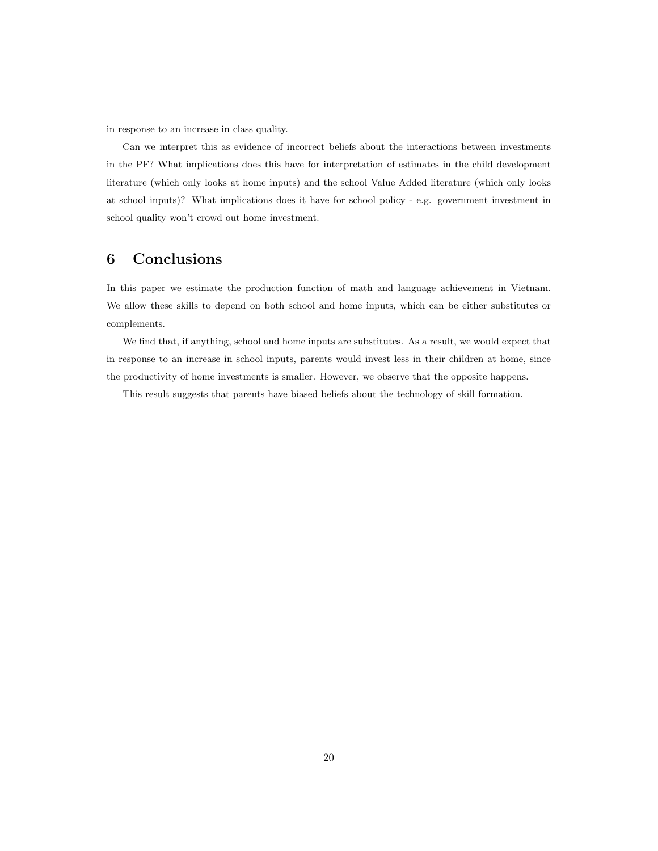in response to an increase in class quality.

Can we interpret this as evidence of incorrect beliefs about the interactions between investments in the PF? What implications does this have for interpretation of estimates in the child development literature (which only looks at home inputs) and the school Value Added literature (which only looks at school inputs)? What implications does it have for school policy - e.g. government investment in school quality won't crowd out home investment.

# <span id="page-19-0"></span>6 Conclusions

In this paper we estimate the production function of math and language achievement in Vietnam. We allow these skills to depend on both school and home inputs, which can be either substitutes or complements.

We find that, if anything, school and home inputs are substitutes. As a result, we would expect that in response to an increase in school inputs, parents would invest less in their children at home, since the productivity of home investments is smaller. However, we observe that the opposite happens.

This result suggests that parents have biased beliefs about the technology of skill formation.